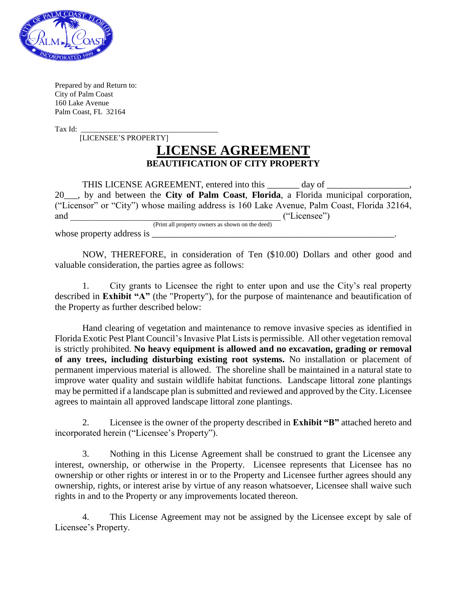

Prepared by and Return to: City of Palm Coast 160 Lake Avenue Palm Coast, FL 32164

Tax Id:

[LICENSEE'S PROPERTY]

## **LICENSE AGREEMENT BEAUTIFICATION OF CITY PROPERTY**

THIS LICENSE AGREEMENT, entered into this \_\_\_\_\_\_\_\_\_ day of \_\_\_\_\_\_\_\_\_\_\_\_\_\_\_\_\_\_\_\_\_\_ 20\_\_\_, by and between the **City of Palm Coast**, **Florida**, a Florida municipal corporation, ("Licensor" or "City") whose mailing address is 160 Lake Avenue, Palm Coast, Florida 32164, and  $($ "Licensee") (Print all property owners as shown on the deed)

whose property address is

NOW, THEREFORE, in consideration of Ten (\$10.00) Dollars and other good and valuable consideration, the parties agree as follows:

1. City grants to Licensee the right to enter upon and use the City's real property described in **Exhibit "A"** (the "Property"), for the purpose of maintenance and beautification of the Property as further described below:

Hand clearing of vegetation and maintenance to remove invasive species as identified in Florida Exotic Pest Plant Council's Invasive Plat Lists is permissible. All other vegetation removal is strictly prohibited. **No heavy equipment is allowed and no excavation, grading or removal of any trees, including disturbing existing root systems.** No installation or placement of permanent impervious material is allowed. The shoreline shall be maintained in a natural state to improve water quality and sustain wildlife habitat functions. Landscape littoral zone plantings may be permitted if a landscape plan is submitted and reviewed and approved by the City. Licensee agrees to maintain all approved landscape littoral zone plantings.

2. Licensee is the owner of the property described in **Exhibit "B"** attached hereto and incorporated herein ("Licensee's Property").

3. Nothing in this License Agreement shall be construed to grant the Licensee any interest, ownership, or otherwise in the Property. Licensee represents that Licensee has no ownership or other rights or interest in or to the Property and Licensee further agrees should any ownership, rights, or interest arise by virtue of any reason whatsoever, Licensee shall waive such rights in and to the Property or any improvements located thereon.

4. This License Agreement may not be assigned by the Licensee except by sale of Licensee's Property.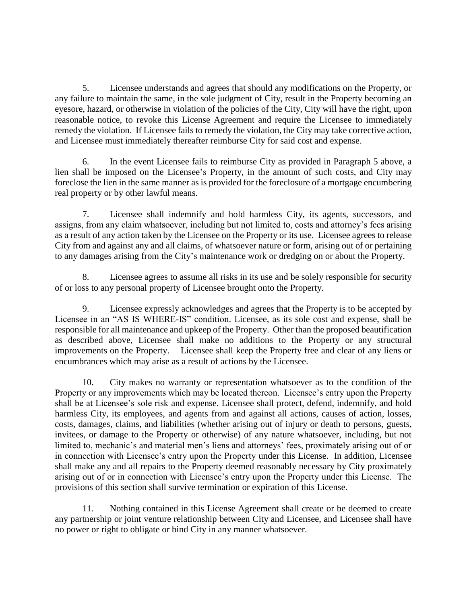5. Licensee understands and agrees that should any modifications on the Property, or any failure to maintain the same, in the sole judgment of City, result in the Property becoming an eyesore, hazard, or otherwise in violation of the policies of the City, City will have the right, upon reasonable notice, to revoke this License Agreement and require the Licensee to immediately remedy the violation. If Licensee fails to remedy the violation, the City may take corrective action, and Licensee must immediately thereafter reimburse City for said cost and expense.

6. In the event Licensee fails to reimburse City as provided in Paragraph 5 above, a lien shall be imposed on the Licensee's Property, in the amount of such costs, and City may foreclose the lien in the same manner as is provided for the foreclosure of a mortgage encumbering real property or by other lawful means.

7. Licensee shall indemnify and hold harmless City, its agents, successors, and assigns, from any claim whatsoever, including but not limited to, costs and attorney's fees arising as a result of any action taken by the Licensee on the Property or its use. Licensee agrees to release City from and against any and all claims, of whatsoever nature or form, arising out of or pertaining to any damages arising from the City's maintenance work or dredging on or about the Property.

8. Licensee agrees to assume all risks in its use and be solely responsible for security of or loss to any personal property of Licensee brought onto the Property.

9. Licensee expressly acknowledges and agrees that the Property is to be accepted by Licensee in an "AS IS WHERE-IS" condition. Licensee, as its sole cost and expense, shall be responsible for all maintenance and upkeep of the Property. Other than the proposed beautification as described above, Licensee shall make no additions to the Property or any structural improvements on the Property. Licensee shall keep the Property free and clear of any liens or encumbrances which may arise as a result of actions by the Licensee.

10. City makes no warranty or representation whatsoever as to the condition of the Property or any improvements which may be located thereon. Licensee's entry upon the Property shall be at Licensee's sole risk and expense. Licensee shall protect, defend, indemnify, and hold harmless City, its employees, and agents from and against all actions, causes of action, losses, costs, damages, claims, and liabilities (whether arising out of injury or death to persons, guests, invitees, or damage to the Property or otherwise) of any nature whatsoever, including, but not limited to, mechanic's and material men's liens and attorneys' fees, proximately arising out of or in connection with Licensee's entry upon the Property under this License. In addition, Licensee shall make any and all repairs to the Property deemed reasonably necessary by City proximately arising out of or in connection with Licensee's entry upon the Property under this License. The provisions of this section shall survive termination or expiration of this License.

11. Nothing contained in this License Agreement shall create or be deemed to create any partnership or joint venture relationship between City and Licensee, and Licensee shall have no power or right to obligate or bind City in any manner whatsoever.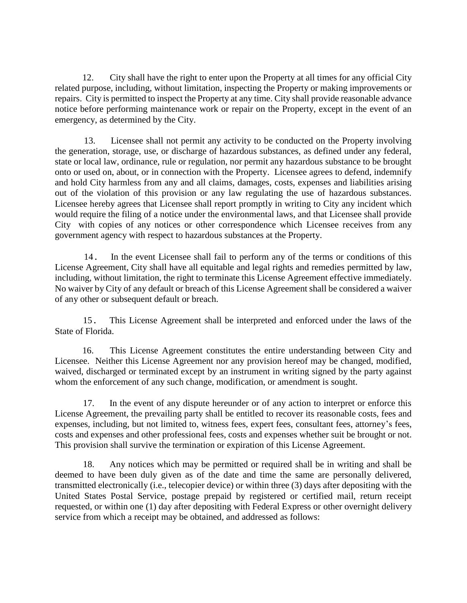12. City shall have the right to enter upon the Property at all times for any official City related purpose, including, without limitation, inspecting the Property or making improvements or repairs. City is permitted to inspect the Property at any time. City shall provide reasonable advance notice before performing maintenance work or repair on the Property, except in the event of an emergency, as determined by the City.

13. Licensee shall not permit any activity to be conducted on the Property involving the generation, storage, use, or discharge of hazardous substances, as defined under any federal, state or local law, ordinance, rule or regulation, nor permit any hazardous substance to be brought onto or used on, about, or in connection with the Property. Licensee agrees to defend, indemnify and hold City harmless from any and all claims, damages, costs, expenses and liabilities arising out of the violation of this provision or any law regulating the use of hazardous substances. Licensee hereby agrees that Licensee shall report promptly in writing to City any incident which would require the filing of a notice under the environmental laws, and that Licensee shall provide City with copies of any notices or other correspondence which Licensee receives from any government agency with respect to hazardous substances at the Property.

14. In the event Licensee shall fail to perform any of the terms or conditions of this License Agreement, City shall have all equitable and legal rights and remedies permitted by law, including, without limitation, the right to terminate this License Agreement effective immediately. No waiver by City of any default or breach of this License Agreement shall be considered a waiver of any other or subsequent default or breach.

15. This License Agreement shall be interpreted and enforced under the laws of the State of Florida.

16. This License Agreement constitutes the entire understanding between City and Licensee. Neither this License Agreement nor any provision hereof may be changed, modified, waived, discharged or terminated except by an instrument in writing signed by the party against whom the enforcement of any such change, modification, or amendment is sought.

17. In the event of any dispute hereunder or of any action to interpret or enforce this License Agreement, the prevailing party shall be entitled to recover its reasonable costs, fees and expenses, including, but not limited to, witness fees, expert fees, consultant fees, attorney's fees, costs and expenses and other professional fees, costs and expenses whether suit be brought or not. This provision shall survive the termination or expiration of this License Agreement.

18. Any notices which may be permitted or required shall be in writing and shall be deemed to have been duly given as of the date and time the same are personally delivered, transmitted electronically (i.e., telecopier device) or within three (3) days after depositing with the United States Postal Service, postage prepaid by registered or certified mail, return receipt requested, or within one (1) day after depositing with Federal Express or other overnight delivery service from which a receipt may be obtained, and addressed as follows: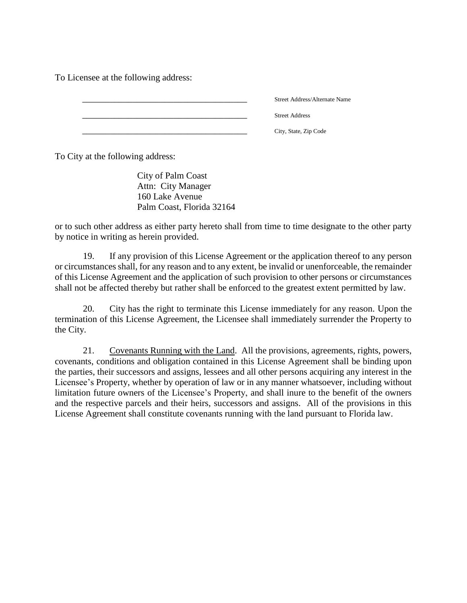To Licensee at the following address:

| Street Address/Alternate Name |
|-------------------------------|
| <b>Street Address</b>         |
| City, State, Zip Code         |

To City at the following address:

City of Palm Coast Attn: City Manager 160 Lake Avenue Palm Coast, Florida 32164

or to such other address as either party hereto shall from time to time designate to the other party by notice in writing as herein provided.

19. If any provision of this License Agreement or the application thereof to any person or circumstances shall, for any reason and to any extent, be invalid or unenforceable, the remainder of this License Agreement and the application of such provision to other persons or circumstances shall not be affected thereby but rather shall be enforced to the greatest extent permitted by law.

20. City has the right to terminate this License immediately for any reason. Upon the termination of this License Agreement, the Licensee shall immediately surrender the Property to the City.

21. Covenants Running with the Land. All the provisions, agreements, rights, powers, covenants, conditions and obligation contained in this License Agreement shall be binding upon the parties, their successors and assigns, lessees and all other persons acquiring any interest in the Licensee's Property, whether by operation of law or in any manner whatsoever, including without limitation future owners of the Licensee's Property, and shall inure to the benefit of the owners and the respective parcels and their heirs, successors and assigns. All of the provisions in this License Agreement shall constitute covenants running with the land pursuant to Florida law.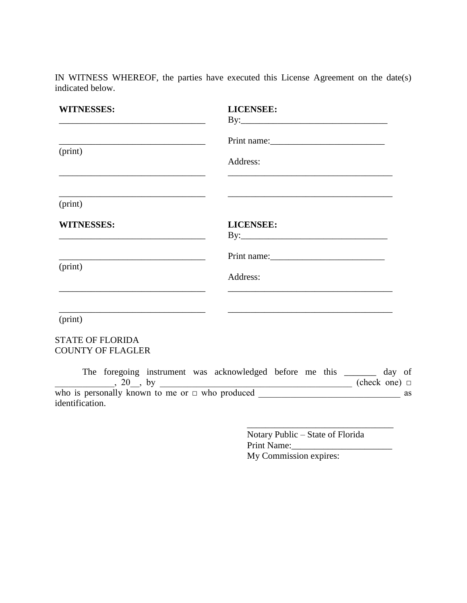IN WITNESS WHEREOF, the parties have executed this License Agreement on the date(s) indicated below.

| <b>WITNESSES:</b>                                                                                                                         | <b>LICENSEE:</b>                                                                                                                  |
|-------------------------------------------------------------------------------------------------------------------------------------------|-----------------------------------------------------------------------------------------------------------------------------------|
|                                                                                                                                           |                                                                                                                                   |
|                                                                                                                                           | Print name:                                                                                                                       |
| (print)                                                                                                                                   | Address:<br><u> 1989 - Johann Harry Harry Harry Harry Harry Harry Harry Harry Harry Harry Harry Harry Harry Harry Harry Harry</u> |
| (print)                                                                                                                                   | <u> 1989 - Johann Barn, amerikan berkemaan di sebagai berkemaan di sebagai berkemaan di sebagai berkemaan di seba</u>             |
| <b>WITNESSES:</b><br><u> 1989 - Johann John Stone, markin film yn y brenin y brenin y brenin y brenin y brenin y brenin y brenin y br</u> | <b>LICENSEE:</b>                                                                                                                  |
|                                                                                                                                           |                                                                                                                                   |
| (print)                                                                                                                                   | Address:                                                                                                                          |
| (print)                                                                                                                                   |                                                                                                                                   |
| <b>STATE OF FLORIDA</b>                                                                                                                   |                                                                                                                                   |
| <b>COUNTY OF FLAGLER</b>                                                                                                                  |                                                                                                                                   |
|                                                                                                                                           | The foregoing instrument was acknowledged before me this _______ day of                                                           |
| identification.                                                                                                                           |                                                                                                                                   |
|                                                                                                                                           |                                                                                                                                   |
|                                                                                                                                           |                                                                                                                                   |

Notary Public – State of Florida Print Name:\_\_\_\_\_\_\_\_\_\_\_\_\_\_\_\_\_\_\_\_\_\_ My Commission expires: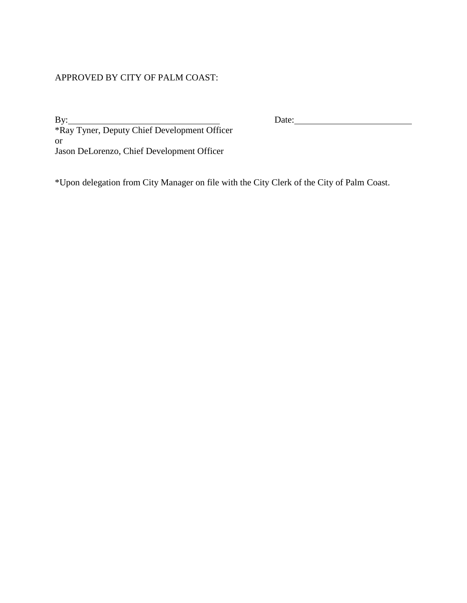## APPROVED BY CITY OF PALM COAST:

By: Date: \*Ray Tyner, Deputy Chief Development Officer or Jason DeLorenzo, Chief Development Officer

\*Upon delegation from City Manager on file with the City Clerk of the City of Palm Coast.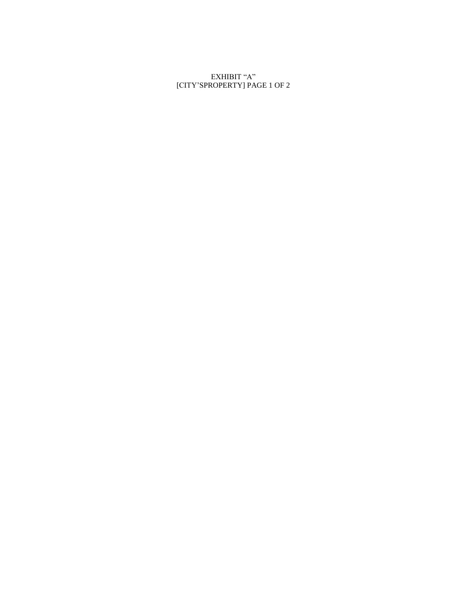EXHIBIT "A" [CITY'SPROPERTY] PAGE 1 OF 2